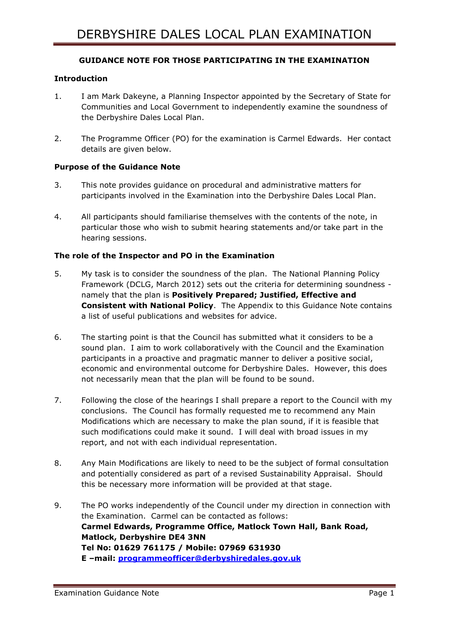# **GUIDANCE NOTE FOR THOSE PARTICIPATING IN THE EXAMINATION**

## **Introduction**

- 1. I am Mark Dakeyne, a Planning Inspector appointed by the Secretary of State for Communities and Local Government to independently examine the soundness of the Derbyshire Dales Local Plan.
- 2. The Programme Officer (PO) for the examination is Carmel Edwards. Her contact details are given below.

## **Purpose of the Guidance Note**

- 3. This note provides guidance on procedural and administrative matters for participants involved in the Examination into the Derbyshire Dales Local Plan.
- 4. All participants should familiarise themselves with the contents of the note, in particular those who wish to submit hearing statements and/or take part in the hearing sessions.

## **The role of the Inspector and PO in the Examination**

- 5. My task is to consider the soundness of the plan. The National Planning Policy Framework (DCLG, March 2012) sets out the criteria for determining soundness namely that the plan is **Positively Prepared; Justified, Effective and Consistent with National Policy**. The Appendix to this Guidance Note contains a list of useful publications and websites for advice.
- 6. The starting point is that the Council has submitted what it considers to be a sound plan. I aim to work collaboratively with the Council and the Examination participants in a proactive and pragmatic manner to deliver a positive social, economic and environmental outcome for Derbyshire Dales. However, this does not necessarily mean that the plan will be found to be sound.
- 7. Following the close of the hearings I shall prepare a report to the Council with my conclusions. The Council has formally requested me to recommend any Main Modifications which are necessary to make the plan sound, if it is feasible that such modifications could make it sound. I will deal with broad issues in my report, and not with each individual representation.
- 8. Any Main Modifications are likely to need to be the subject of formal consultation and potentially considered as part of a revised Sustainability Appraisal. Should this be necessary more information will be provided at that stage.
- 9. The PO works independently of the Council under my direction in connection with the Examination. Carmel can be contacted as follows: **Carmel Edwards, Programme Office, Matlock Town Hall, Bank Road, Matlock, Derbyshire DE4 3NN Tel No: 01629 761175 / Mobile: 07969 631930 E –mail: [programmeofficer@derbyshiredales.gov.uk](mailto:programmeofficer@derbyshiredales.gov.uk)**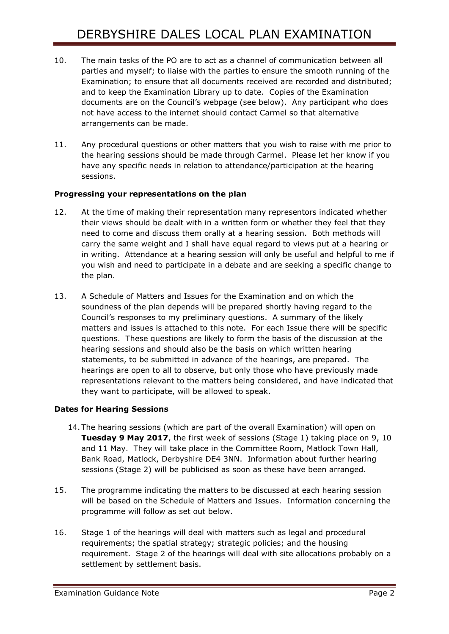- 10. The main tasks of the PO are to act as a channel of communication between all parties and myself; to liaise with the parties to ensure the smooth running of the Examination; to ensure that all documents received are recorded and distributed; and to keep the Examination Library up to date. Copies of the Examination documents are on the Council's webpage (see below). Any participant who does not have access to the internet should contact Carmel so that alternative arrangements can be made.
- 11. Any procedural questions or other matters that you wish to raise with me prior to the hearing sessions should be made through Carmel. Please let her know if you have any specific needs in relation to attendance/participation at the hearing sessions.

# **Progressing your representations on the plan**

- 12. At the time of making their representation many representors indicated whether their views should be dealt with in a written form or whether they feel that they need to come and discuss them orally at a hearing session. Both methods will carry the same weight and I shall have equal regard to views put at a hearing or in writing. Attendance at a hearing session will only be useful and helpful to me if you wish and need to participate in a debate and are seeking a specific change to the plan.
- 13. A Schedule of Matters and Issues for the Examination and on which the soundness of the plan depends will be prepared shortly having regard to the Council's responses to my preliminary questions. A summary of the likely matters and issues is attached to this note. For each Issue there will be specific questions. These questions are likely to form the basis of the discussion at the hearing sessions and should also be the basis on which written hearing statements, to be submitted in advance of the hearings, are prepared. The hearings are open to all to observe, but only those who have previously made representations relevant to the matters being considered, and have indicated that they want to participate, will be allowed to speak.

# **Dates for Hearing Sessions**

- 14. The hearing sessions (which are part of the overall Examination) will open on **Tuesday 9 May 2017**, the first week of sessions (Stage 1) taking place on 9, 10 and 11 May. They will take place in the Committee Room, Matlock Town Hall, Bank Road, Matlock, Derbyshire DE4 3NN. Information about further hearing sessions (Stage 2) will be publicised as soon as these have been arranged.
- 15. The programme indicating the matters to be discussed at each hearing session will be based on the Schedule of Matters and Issues. Information concerning the programme will follow as set out below.
- 16. Stage 1 of the hearings will deal with matters such as legal and procedural requirements; the spatial strategy; strategic policies; and the housing requirement. Stage 2 of the hearings will deal with site allocations probably on a settlement by settlement basis.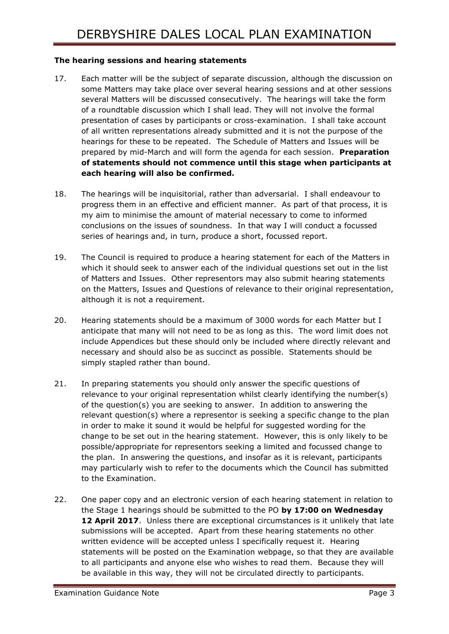## **The hearing sessions and hearing statements**

- 17. Each matter will be the subject of separate discussion, although the discussion on some Matters may take place over several hearing sessions and at other sessions several Matters will be discussed consecutively. The hearings will take the form of a roundtable discussion which I shall lead. They will not involve the formal presentation of cases by participants or cross-examination. I shall take account of all written representations already submitted and it is not the purpose of the hearings for these to be repeated. The Schedule of Matters and Issues will be prepared by mid-March and will form the agenda for each session. **Preparation of statements should not commence until this stage when participants at each hearing will also be confirmed.**
- 18. The hearings will be inquisitorial, rather than adversarial. I shall endeavour to progress them in an effective and efficient manner. As part of that process, it is my aim to minimise the amount of material necessary to come to informed conclusions on the issues of soundness. In that way I will conduct a focussed series of hearings and, in turn, produce a short, focussed report.
- 19. The Council is required to produce a hearing statement for each of the Matters in which it should seek to answer each of the individual questions set out in the list of Matters and Issues. Other representors may also submit hearing statements on the Matters, Issues and Questions of relevance to their original representation, although it is not a requirement.
- 20. Hearing statements should be a maximum of 3000 words for each Matter but I anticipate that many will not need to be as long as this. The word limit does not include Appendices but these should only be included where directly relevant and necessary and should also be as succinct as possible. Statements should be simply stapled rather than bound.
- 21. In preparing statements you should only answer the specific questions of relevance to your original representation whilst clearly identifying the number(s) of the question(s) you are seeking to answer. In addition to answering the relevant question(s) where a representor is seeking a specific change to the plan in order to make it sound it would be helpful for suggested wording for the change to be set out in the hearing statement. However, this is only likely to be possible/appropriate for representors seeking a limited and focussed change to the plan. In answering the questions, and insofar as it is relevant, participants may particularly wish to refer to the documents which the Council has submitted to the Examination.
- 22. One paper copy and an electronic version of each hearing statement in relation to the Stage 1 hearings should be submitted to the PO **by 17:00 on Wednesday 12 April 2017**. Unless there are exceptional circumstances is it unlikely that late submissions will be accepted. Apart from these hearing statements no other written evidence will be accepted unless I specifically request it. Hearing statements will be posted on the Examination webpage, so that they are available to all participants and anyone else who wishes to read them. Because they will be available in this way, they will not be circulated directly to participants.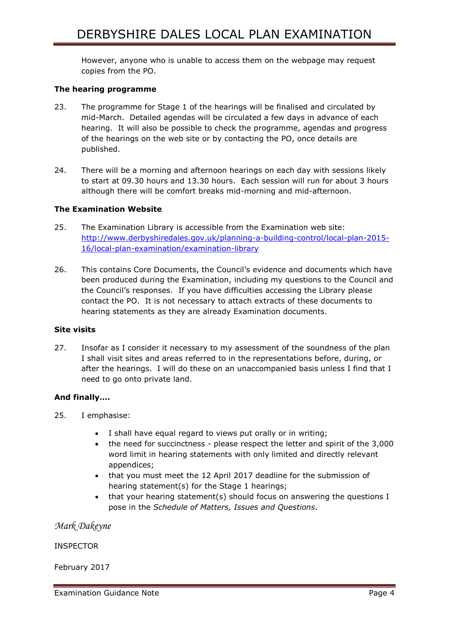However, anyone who is unable to access them on the webpage may request copies from the PO.

### **The hearing programme**

- 23. The programme for Stage 1 of the hearings will be finalised and circulated by mid-March. Detailed agendas will be circulated a few days in advance of each hearing. It will also be possible to check the programme, agendas and progress of the hearings on the web site or by contacting the PO, once details are published.
- 24. There will be a morning and afternoon hearings on each day with sessions likely to start at 09.30 hours and 13.30 hours. Each session will run for about 3 hours although there will be comfort breaks mid-morning and mid-afternoon.

#### **The Examination Website**

- 25. The Examination Library is accessible from the Examination web site: [http://www.derbyshiredales.gov.uk/planning-a-building-control/local-plan-2015-](http://www.derbyshiredales.gov.uk/planning-a-building-control/local-plan-2015-16/local-plan-examination/examination-library) [16/local-plan-examination/examination-library](http://www.derbyshiredales.gov.uk/planning-a-building-control/local-plan-2015-16/local-plan-examination/examination-library)
- 26. This contains Core Documents, the Council's evidence and documents which have been produced during the Examination, including my questions to the Council and the Council's responses. If you have difficulties accessing the Library please contact the PO. It is not necessary to attach extracts of these documents to hearing statements as they are already Examination documents.

#### **Site visits**

27. Insofar as I consider it necessary to my assessment of the soundness of the plan I shall visit sites and areas referred to in the representations before, during, or after the hearings. I will do these on an unaccompanied basis unless I find that I need to go onto private land.

## **And finally….**

- 25. I emphasise:
	- I shall have equal regard to views put orally or in writing;
	- the need for succinctness please respect the letter and spirit of the 3,000 word limit in hearing statements with only limited and directly relevant appendices;
	- that you must meet the 12 April 2017 deadline for the submission of hearing statement(s) for the Stage 1 hearings;
	- that your hearing statement(s) should focus on answering the questions I pose in the *Schedule of Matters, Issues and Questions*.

*Mark Dakeyne*

INSPECTOR

February 2017